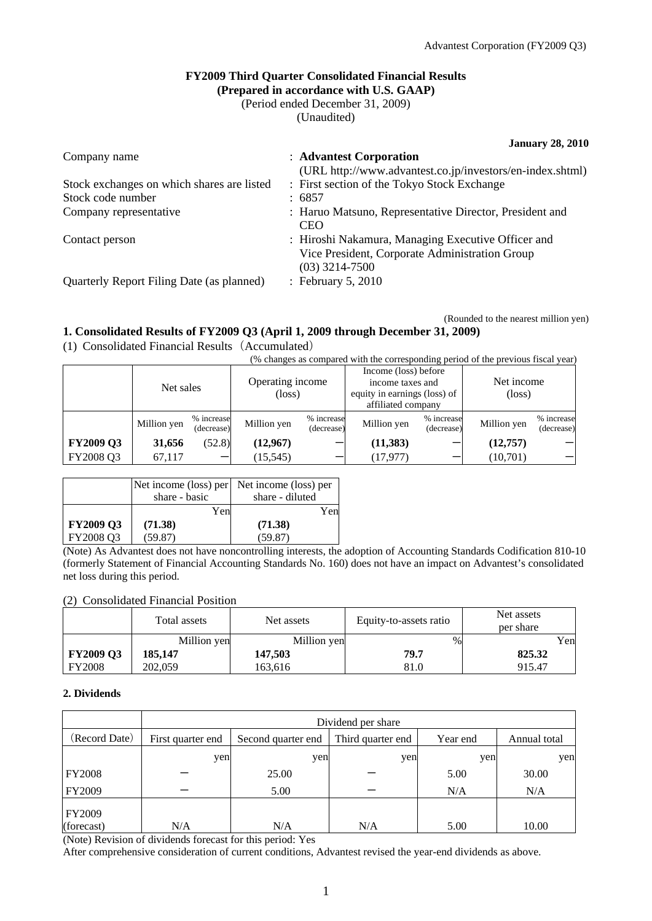#### **FY2009 Third Quarter Consolidated Financial Results (Prepared in accordance with U.S. GAAP)**

(Period ended December 31, 2009)

(Unaudited)

|                                            | <b>January 28, 2010</b>                                               |
|--------------------------------------------|-----------------------------------------------------------------------|
| Company name                               | : Advantest Corporation                                               |
|                                            | (URL http://www.advantest.co.jp/investors/en-index.shtml)             |
| Stock exchanges on which shares are listed | : First section of the Tokyo Stock Exchange                           |
| Stock code number                          | :6857                                                                 |
| Company representative                     | : Haruo Matsuno, Representative Director, President and<br><b>CEO</b> |
| Contact person                             | : Hiroshi Nakamura, Managing Executive Officer and                    |

Vice President, Corporate Administration Group (03) 3214-7500

Quarterly Report Filing Date (as planned) : February 5, 2010

(Rounded to the nearest million yen)

### **1. Consolidated Results of FY2009 Q3 (April 1, 2009 through December 31, 2009)**

(1) Consolidated Financial Results(Accumulated)

|  |  | (% changes as compared with the corresponding period of the previous fiscal year) |  |
|--|--|-----------------------------------------------------------------------------------|--|
|  |  |                                                                                   |  |
|  |  |                                                                                   |  |

|                  | Net sales   |                          | Operating income<br>(loss) |                          | Income (loss) before<br>income taxes and<br>equity in earnings (loss) of<br>affiliated company |                          | Net income<br>$(\text{loss})$ |                          |
|------------------|-------------|--------------------------|----------------------------|--------------------------|------------------------------------------------------------------------------------------------|--------------------------|-------------------------------|--------------------------|
|                  | Million yen | % increase<br>(decrease) | Million yen                | % increase<br>(decrease) | Million yen                                                                                    | % increase<br>(decrease) | Million yen                   | % increase<br>(decrease) |
| <b>FY2009 Q3</b> | 31,656      | (52.8)                   | (12,967)                   | –                        | (11, 383)                                                                                      |                          | (12, 757)                     |                          |
| FY2008 Q3        | 67,117      |                          | (15, 545)                  | –                        | (17, 977)                                                                                      |                          | (10,701)                      |                          |

|           | Net income (loss) per | Net income (loss) per |
|-----------|-----------------------|-----------------------|
|           | share - basic         | share - diluted       |
|           | Yen                   | Yen                   |
| FY2009 Q3 | (71.38)               | (71.38)               |
| FY2008 Q3 | (59.87)               | (59.87)               |

(Note) As Advantest does not have noncontrolling interests, the adoption of Accounting Standards Codification 810-10 (formerly Statement of Financial Accounting Standards No. 160) does not have an impact on Advantest's consolidated net loss during this period.

### (2) Consolidated Financial Position

|                  | Total assets | Net assets  | Equity-to-assets ratio | Net assets<br>per share |
|------------------|--------------|-------------|------------------------|-------------------------|
|                  | Million yen  | Million yen | $\%$                   | Yen                     |
| <b>FY2009 Q3</b> | 185,147      | 147,503     | 79.7                   | 825.32                  |
| <b>FY2008</b>    | 202,059      | 163,616     | 81.0                   | 915.47                  |

### **2. Dividends**

|                             | Dividend per share |                    |                   |          |              |  |  |
|-----------------------------|--------------------|--------------------|-------------------|----------|--------------|--|--|
| (Record Date)               | First quarter end  | Second quarter end | Third quarter end | Year end | Annual total |  |  |
|                             | yen                | yen                | yen               | yen      | yen          |  |  |
| <b>FY2008</b>               |                    | 25.00              |                   | 5.00     | 30.00        |  |  |
| FY2009                      |                    | 5.00               |                   | N/A      | N/A          |  |  |
| <b>FY2009</b><br>(forecast) | N/A                | N/A                | N/A               | 5.00     | 10.00        |  |  |

(Note) Revision of dividends forecast for this period: Yes

After comprehensive consideration of current conditions, Advantest revised the year-end dividends as above.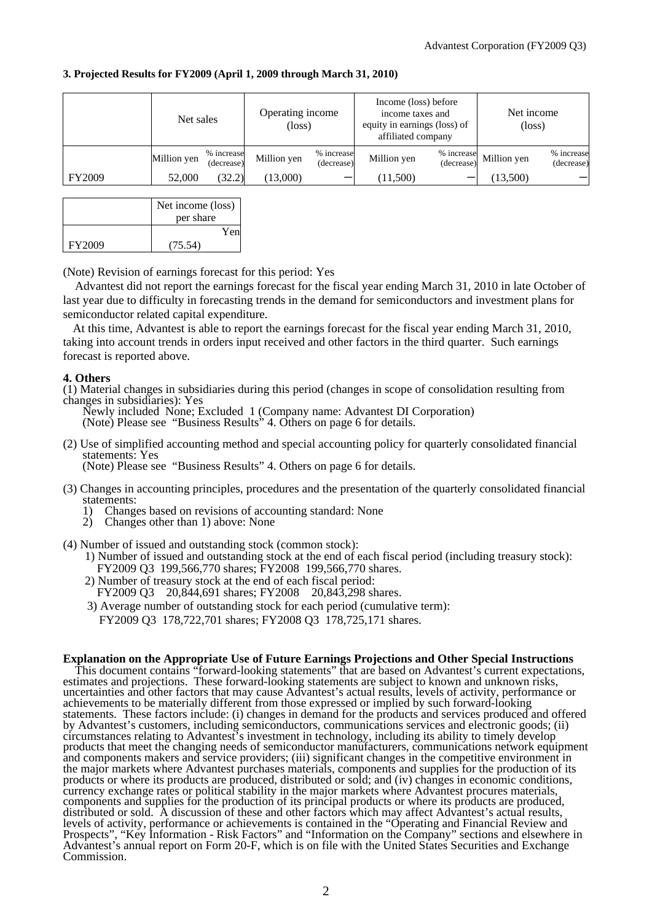| 3. Projected Results for FY2009 (April 1, 2009 through March 31, 2010) |  |  |  |
|------------------------------------------------------------------------|--|--|--|
|------------------------------------------------------------------------|--|--|--|

|               | Net sales   |                          | Operating income<br>$(\text{loss})$ |                          | Income (loss) before<br>income taxes and<br>equity in earnings (loss) of<br>affiliated company |                          | Net income<br>$(\text{loss})$ |                          |
|---------------|-------------|--------------------------|-------------------------------------|--------------------------|------------------------------------------------------------------------------------------------|--------------------------|-------------------------------|--------------------------|
|               | Million yen | % increase<br>(decrease) | Million yen                         | % increase<br>(decrease) | Million yen                                                                                    | % increase<br>(decrease) | Million yen                   | % increase<br>(decrease) |
| <b>FY2009</b> | 52,000      | (32.2)                   | (13,000)                            | -                        | (11,500)                                                                                       |                          | (13,500)                      |                          |

|        | Net income (loss) |  |  |
|--------|-------------------|--|--|
|        | per share         |  |  |
|        | Yen               |  |  |
| FY2009 | (75.54)           |  |  |

(Note) Revision of earnings forecast for this period: Yes

Advantest did not report the earnings forecast for the fiscal year ending March 31, 2010 in late October of last year due to difficulty in forecasting trends in the demand for semiconductors and investment plans for semiconductor related capital expenditure.

At this time, Advantest is able to report the earnings forecast for the fiscal year ending March 31, 2010, taking into account trends in orders input received and other factors in the third quarter. Such earnings forecast is reported above.

#### **4. Others**

(1) Material changes in subsidiaries during this period (changes in scope of consolidation resulting from changes in subsidiaries): Yes

Newly included None; Excluded 1 (Company name: Advantest DI Corporation) (Note) Please see "Business Results" 4. Others on page 6 for details.

(2) Use of simplified accounting method and special accounting policy for quarterly consolidated financial statements: Yes (Note) Please see "Business Results" 4. Others on page 6 for details.

(3) Changes in accounting principles, procedures and the presentation of the quarterly consolidated financial

- statements: 1) Changes based on revisions of accounting standard: None
- Changes other than 1) above: None
- (4) Number of issued and outstanding stock (common stock):
	- 1) Number of issued and outstanding stock at the end of each fiscal period (including treasury stock): FY2009 Q3 199,566,770 shares; FY2008 199,566,770 shares.
	- 2) Number of treasury stock at the end of each fiscal period: FY2009 Q3 20,844,691 shares; FY2008 20,843,298 shares.
	- 3) Average number of outstanding stock for each period (cumulative term):

## FY2009 Q3 178,722,701 shares; FY2008 Q3 178,725,171 shares.

#### **Explanation on the Appropriate Use of Future Earnings Projections and Other Special Instructions**

This document contains "forward-looking statements" that are based on Advantest's current expectations, estimates and projections. These forward-looking statements are subject to known and unknown risks, uncertainties and other factors that may cause Advantest's actual results, levels of activity, performance or achievements to be materially different from those expressed or implied by such forward-looking statements. These factors include: (i) changes in demand for the products and services produced and offered by Advantest's customers, including semiconductors, communications services and electronic goods; (ii) circumstances relating to Advantest's investment in technology, including its ability to timely develop products that meet the changing needs of semiconductor manufacturers, communications network equipment and components makers and service providers; (iii) significant changes in the competitive environment in the major markets where Advantest purchases materials, components and supplies for the production of its products or where its products are produced, distributed or sold; and (iv) changes in economic conditions, currency exchange rates or political stability in the major markets where Advantest procures materials, components and supplies for the production of its principal products or where its products are produced, distributed or sold. A discussion of these and other factors which may affect Advantest's actual results, levels of activity, performance or achievements is contained in the "Operating and Financial Review and Prospects", "Key Information - Risk Factors" and "Information on the Company" sections and elsewhere in Advantest's annual report on Form 20-F, which is on file with the United States Securities and Exchange Commission.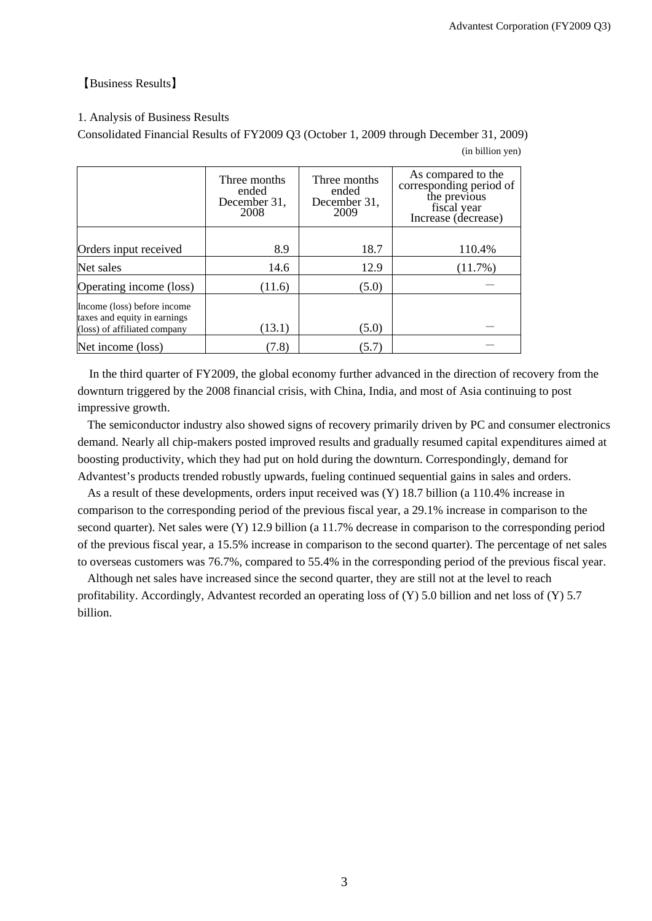### 【Business Results】

### 1. Analysis of Business Results

Consolidated Financial Results of FY2009 Q3 (October 1, 2009 through December 31, 2009)

(in billion yen)

|                                                                                             | Three months<br>ended<br>December 31,<br>2008 | Three months<br>ended<br>December 31,<br>2009 | As compared to the<br>corresponding period of<br>the previous<br>fiscal year<br>Increase (decrease) |
|---------------------------------------------------------------------------------------------|-----------------------------------------------|-----------------------------------------------|-----------------------------------------------------------------------------------------------------|
| Orders input received                                                                       | 8.9                                           | 18.7                                          | 110.4%                                                                                              |
| Net sales                                                                                   | 14.6                                          | 12.9                                          | (11.7%)                                                                                             |
| Operating income (loss)                                                                     | (11.6)                                        | (5.0)                                         |                                                                                                     |
| Income (loss) before income<br>taxes and equity in earnings<br>(loss) of affiliated company | (13.1)                                        | (5.0)                                         |                                                                                                     |
| Net income (loss)                                                                           | (7.8)                                         | (5.7)                                         |                                                                                                     |

In the third quarter of FY2009, the global economy further advanced in the direction of recovery from the downturn triggered by the 2008 financial crisis, with China, India, and most of Asia continuing to post impressive growth.

The semiconductor industry also showed signs of recovery primarily driven by PC and consumer electronics demand. Nearly all chip-makers posted improved results and gradually resumed capital expenditures aimed at boosting productivity, which they had put on hold during the downturn. Correspondingly, demand for Advantest's products trended robustly upwards, fueling continued sequential gains in sales and orders.

As a result of these developments, orders input received was (Y) 18.7 billion (a 110.4% increase in comparison to the corresponding period of the previous fiscal year, a 29.1% increase in comparison to the second quarter). Net sales were (Y) 12.9 billion (a 11.7% decrease in comparison to the corresponding period of the previous fiscal year, a 15.5% increase in comparison to the second quarter). The percentage of net sales to overseas customers was 76.7%, compared to 55.4% in the corresponding period of the previous fiscal year.

Although net sales have increased since the second quarter, they are still not at the level to reach profitability. Accordingly, Advantest recorded an operating loss of (Y) 5.0 billion and net loss of (Y) 5.7 billion.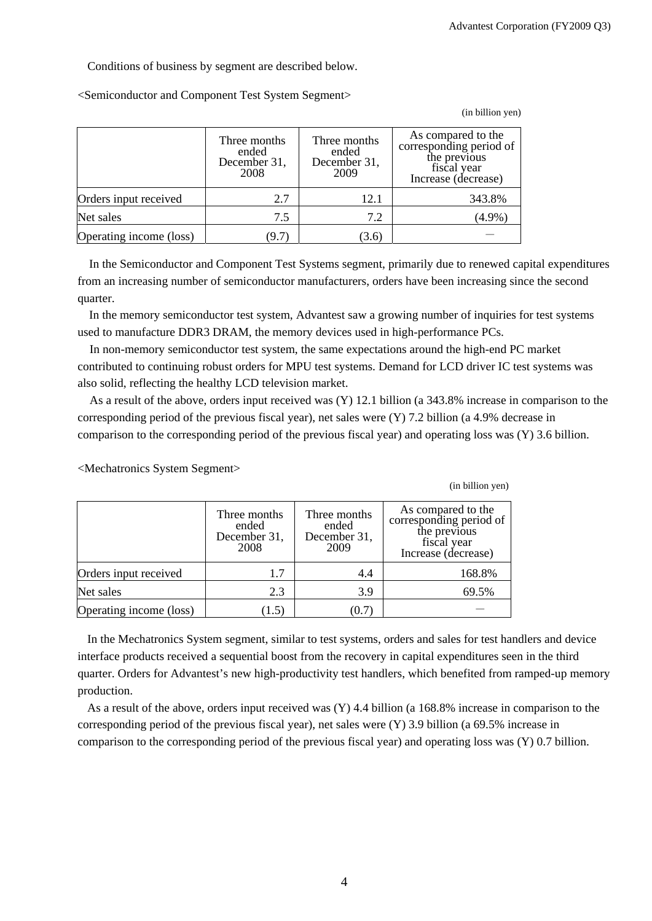(in billion yen)

(in billion yen)

Conditions of business by segment are described below.

<Semiconductor and Component Test System Segment>

|                         | Three months<br>ended<br>December 31,<br>2008 | Three months<br>ended<br>December 31,<br>2009 | As compared to the<br>corresponding period of<br>the previous<br>fiscal year<br>Increase (decrease) |
|-------------------------|-----------------------------------------------|-----------------------------------------------|-----------------------------------------------------------------------------------------------------|
| Orders input received   | 2.7                                           | 12.1                                          | 343.8%                                                                                              |
| Net sales               | 7.5                                           | 7.2                                           | $(4.9\%)$                                                                                           |
| Operating income (loss) | (9.7)                                         | (3.6)                                         |                                                                                                     |

In the Semiconductor and Component Test Systems segment, primarily due to renewed capital expenditures from an increasing number of semiconductor manufacturers, orders have been increasing since the second quarter.

In the memory semiconductor test system, Advantest saw a growing number of inquiries for test systems used to manufacture DDR3 DRAM, the memory devices used in high-performance PCs.

In non-memory semiconductor test system, the same expectations around the high-end PC market contributed to continuing robust orders for MPU test systems. Demand for LCD driver IC test systems was also solid, reflecting the healthy LCD television market.

As a result of the above, orders input received was (Y) 12.1 billion (a 343.8% increase in comparison to the corresponding period of the previous fiscal year), net sales were  $(Y)$  7.2 billion (a 4.9% decrease in comparison to the corresponding period of the previous fiscal year) and operating loss was (Y) 3.6 billion.

Three months ended December 31, 2008 Three months ended December 31, 2009 As compared to the corresponding period of the previous fiscal year Increase (decrease) Orders input received 1.7 1.7 4.4 168.8% Net sales  $2.3$   $3.9$  69.5% Operating income (loss)  $(1.5)$   $(0.7)$ 

<Mechatronics System Segment>

In the Mechatronics System segment, similar to test systems, orders and sales for test handlers and device interface products received a sequential boost from the recovery in capital expenditures seen in the third quarter. Orders for Advantest's new high-productivity test handlers, which benefited from ramped-up memory production.

As a result of the above, orders input received was (Y) 4.4 billion (a 168.8% increase in comparison to the corresponding period of the previous fiscal year), net sales were (Y) 3.9 billion (a 69.5% increase in comparison to the corresponding period of the previous fiscal year) and operating loss was (Y) 0.7 billion.

4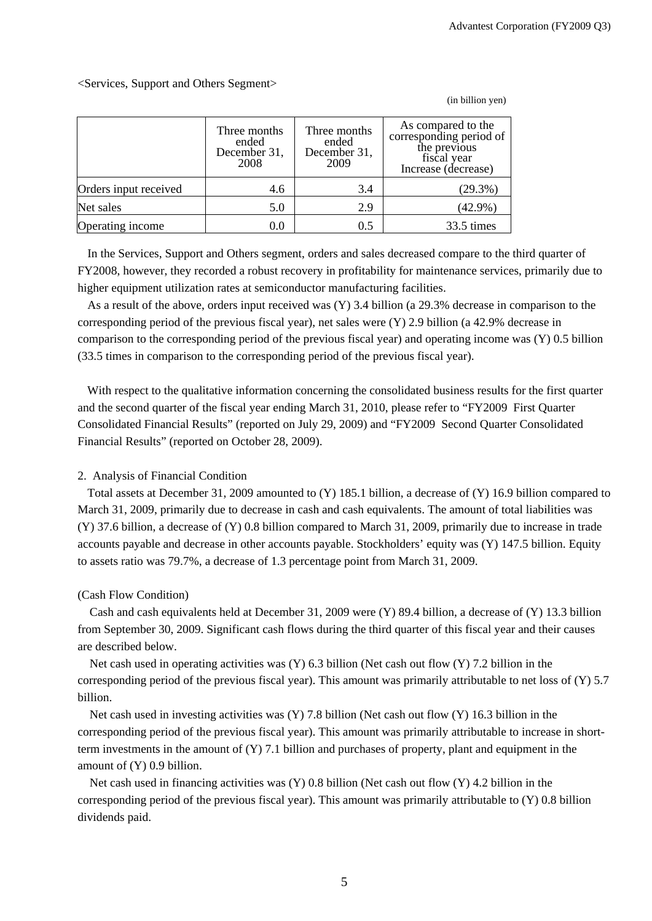(in billion yen)

<Services, Support and Others Segment>

|                       | Three months<br>ended<br>December 31,<br>2008 | Three months<br>ended<br>December 31,<br>2009 | As compared to the<br>corresponding period of<br>the previous<br>fiscal year<br>Increase (decrease) |
|-----------------------|-----------------------------------------------|-----------------------------------------------|-----------------------------------------------------------------------------------------------------|
| Orders input received | 4.6                                           | 3.4                                           | (29.3%)                                                                                             |
| Net sales             | 5.0                                           | 2.9                                           | $(42.9\%)$                                                                                          |
| Operating income      | $0.0\,$                                       | 0.5                                           | 33.5 times                                                                                          |

In the Services, Support and Others segment, orders and sales decreased compare to the third quarter of FY2008, however, they recorded a robust recovery in profitability for maintenance services, primarily due to higher equipment utilization rates at semiconductor manufacturing facilities.

As a result of the above, orders input received was (Y) 3.4 billion (a 29.3% decrease in comparison to the corresponding period of the previous fiscal year), net sales were (Y) 2.9 billion (a 42.9% decrease in comparison to the corresponding period of the previous fiscal year) and operating income was (Y) 0.5 billion (33.5 times in comparison to the corresponding period of the previous fiscal year).

With respect to the qualitative information concerning the consolidated business results for the first quarter and the second quarter of the fiscal year ending March 31, 2010, please refer to "FY2009 First Quarter Consolidated Financial Results" (reported on July 29, 2009) and "FY2009 Second Quarter Consolidated Financial Results" (reported on October 28, 2009).

### 2. Analysis of Financial Condition

Total assets at December 31, 2009 amounted to (Y) 185.1 billion, a decrease of (Y) 16.9 billion compared to March 31, 2009, primarily due to decrease in cash and cash equivalents. The amount of total liabilities was (Y) 37.6 billion, a decrease of (Y) 0.8 billion compared to March 31, 2009, primarily due to increase in trade accounts payable and decrease in other accounts payable. Stockholders' equity was (Y) 147.5 billion. Equity to assets ratio was 79.7%, a decrease of 1.3 percentage point from March 31, 2009.

#### (Cash Flow Condition)

Cash and cash equivalents held at December 31, 2009 were (Y) 89.4 billion, a decrease of (Y) 13.3 billion from September 30, 2009. Significant cash flows during the third quarter of this fiscal year and their causes are described below.

Net cash used in operating activities was (Y) 6.3 billion (Net cash out flow (Y) 7.2 billion in the corresponding period of the previous fiscal year). This amount was primarily attributable to net loss of (Y) 5.7 billion.

Net cash used in investing activities was (Y) 7.8 billion (Net cash out flow (Y) 16.3 billion in the corresponding period of the previous fiscal year). This amount was primarily attributable to increase in shortterm investments in the amount of  $(Y)$  7.1 billion and purchases of property, plant and equipment in the amount of (Y) 0.9 billion.

Net cash used in financing activities was (Y) 0.8 billion (Net cash out flow (Y) 4.2 billion in the corresponding period of the previous fiscal year). This amount was primarily attributable to (Y) 0.8 billion dividends paid.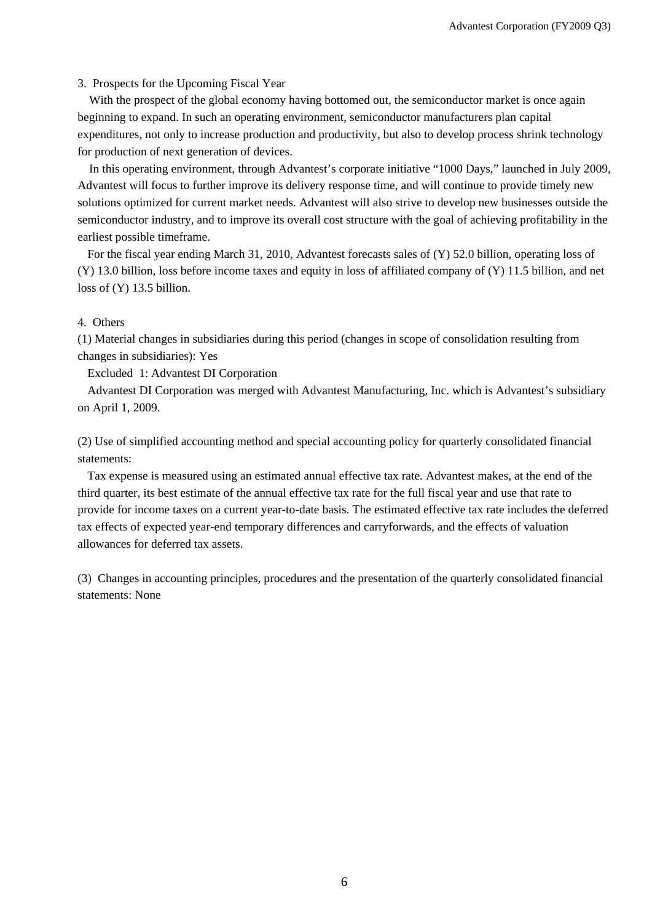#### 3. Prospects for the Upcoming Fiscal Year

With the prospect of the global economy having bottomed out, the semiconductor market is once again beginning to expand. In such an operating environment, semiconductor manufacturers plan capital expenditures, not only to increase production and productivity, but also to develop process shrink technology for production of next generation of devices.

In this operating environment, through Advantest's corporate initiative "1000 Days," launched in July 2009, Advantest will focus to further improve its delivery response time, and will continue to provide timely new solutions optimized for current market needs. Advantest will also strive to develop new businesses outside the semiconductor industry, and to improve its overall cost structure with the goal of achieving profitability in the earliest possible timeframe.

For the fiscal year ending March 31, 2010, Advantest forecasts sales of (Y) 52.0 billion, operating loss of (Y) 13.0 billion, loss before income taxes and equity in loss of affiliated company of (Y) 11.5 billion, and net loss of (Y) 13.5 billion.

#### 4. Others

(1) Material changes in subsidiaries during this period (changes in scope of consolidation resulting from changes in subsidiaries): Yes

Excluded 1: Advantest DI Corporation

Advantest DI Corporation was merged with Advantest Manufacturing, Inc. which is Advantest's subsidiary on April 1, 2009.

(2) Use of simplified accounting method and special accounting policy for quarterly consolidated financial statements:

Tax expense is measured using an estimated annual effective tax rate. Advantest makes, at the end of the third quarter, its best estimate of the annual effective tax rate for the full fiscal year and use that rate to provide for income taxes on a current year-to-date basis. The estimated effective tax rate includes the deferred tax effects of expected year-end temporary differences and carryforwards, and the effects of valuation allowances for deferred tax assets.

(3) Changes in accounting principles, procedures and the presentation of the quarterly consolidated financial statements: None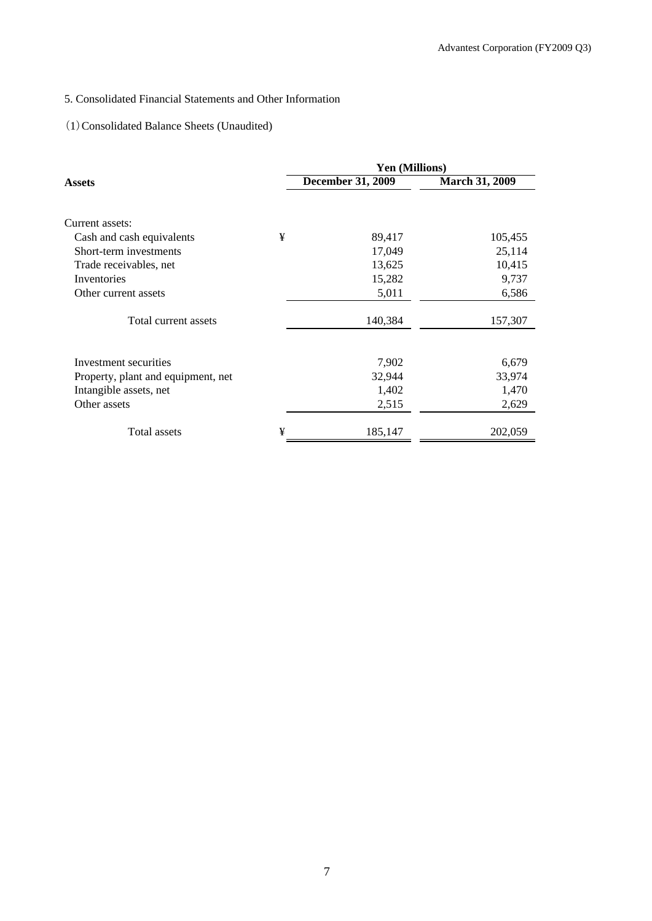# 5. Consolidated Financial Statements and Other Information

### (1)Consolidated Balance Sheets (Unaudited)

|                                    |   | Yen (Millions)           |                       |
|------------------------------------|---|--------------------------|-----------------------|
| Assets                             |   | <b>December 31, 2009</b> | <b>March 31, 2009</b> |
|                                    |   |                          |                       |
| Current assets:                    |   |                          |                       |
| Cash and cash equivalents          | ¥ | 89,417                   | 105,455               |
| Short-term investments             |   | 17,049                   | 25,114                |
| Trade receivables, net             |   | 13,625                   | 10,415                |
| Inventories                        |   | 15,282                   | 9,737                 |
| Other current assets               |   | 5,011                    | 6,586                 |
| Total current assets               |   | 140,384                  | 157,307               |
|                                    |   |                          |                       |
| Investment securities              |   | 7,902                    | 6,679                 |
| Property, plant and equipment, net |   | 32,944                   | 33,974                |
| Intangible assets, net             |   | 1,402                    | 1,470                 |
| Other assets                       |   | 2,515                    | 2,629                 |
| Total assets                       | ¥ | 185,147                  | 202,059               |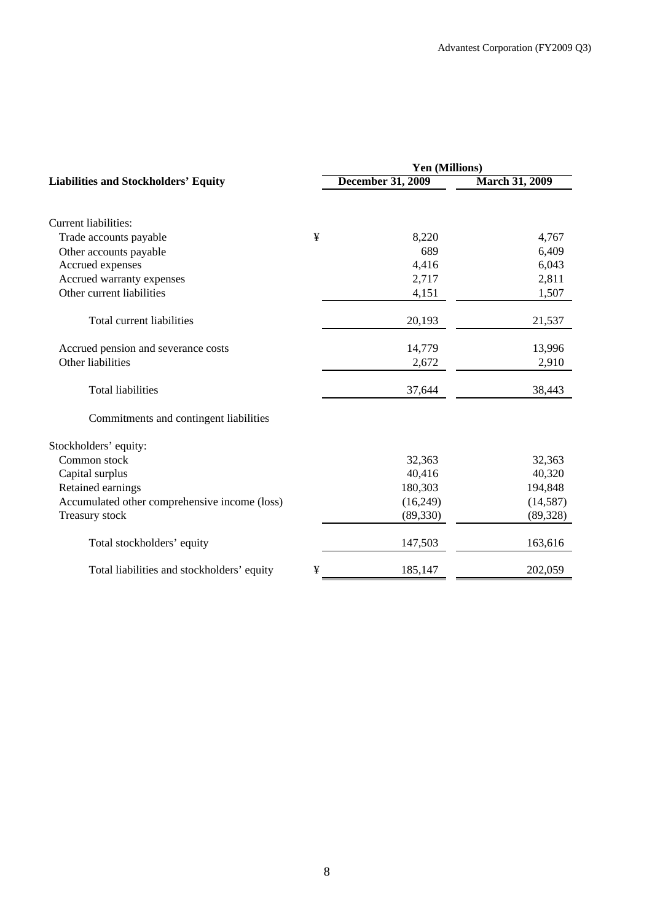|   | Yen (Millions)           |                       |  |  |
|---|--------------------------|-----------------------|--|--|
|   | <b>December 31, 2009</b> | <b>March 31, 2009</b> |  |  |
|   |                          |                       |  |  |
| ¥ | 8,220                    | 4,767                 |  |  |
|   | 689                      | 6,409                 |  |  |
|   | 4,416                    | 6,043                 |  |  |
|   | 2,717                    | 2,811                 |  |  |
|   | 4,151                    | 1,507                 |  |  |
|   | 20,193                   | 21,537                |  |  |
|   | 14,779                   | 13,996                |  |  |
|   | 2,672                    | 2,910                 |  |  |
|   | 37,644                   | 38,443                |  |  |
|   |                          |                       |  |  |
|   |                          |                       |  |  |
|   | 32,363                   | 32,363                |  |  |
|   | 40,416                   | 40,320                |  |  |
|   | 180,303                  | 194,848               |  |  |
|   | (16,249)                 | (14, 587)             |  |  |
|   | (89, 330)                | (89, 328)             |  |  |
|   | 147,503                  | 163,616               |  |  |
| ¥ | 185,147                  | 202,059               |  |  |
|   |                          |                       |  |  |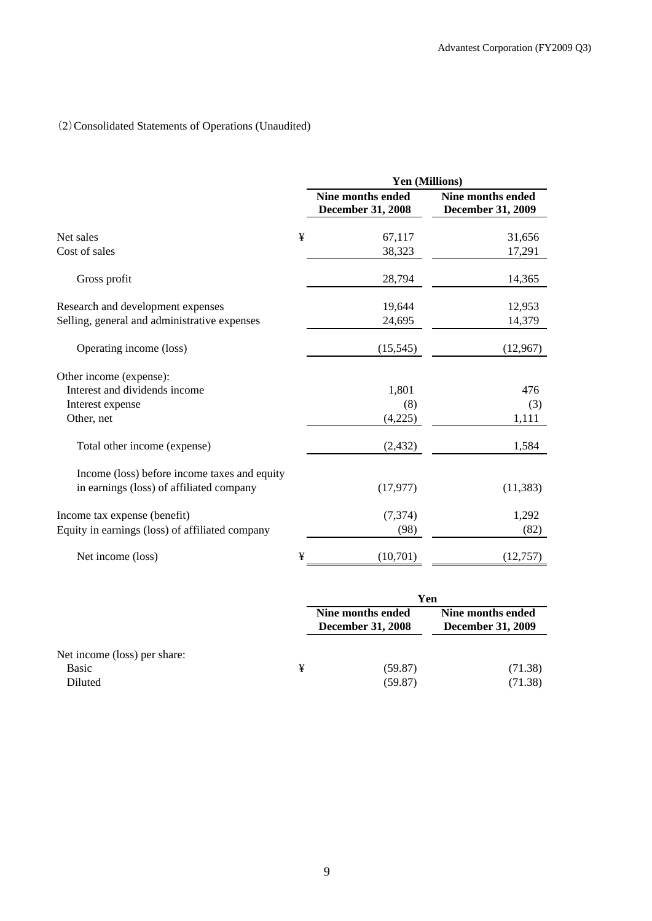# (2)Consolidated Statements of Operations (Unaudited)

|                                                 |   | Yen (Millions)                                       |                                               |  |  |
|-------------------------------------------------|---|------------------------------------------------------|-----------------------------------------------|--|--|
|                                                 |   | <b>Nine months ended</b><br><b>December 31, 2008</b> | Nine months ended<br><b>December 31, 2009</b> |  |  |
| Net sales                                       | ¥ | 67,117                                               | 31,656                                        |  |  |
| Cost of sales                                   |   | 38,323                                               | 17,291                                        |  |  |
| Gross profit                                    |   | 28,794                                               | 14,365                                        |  |  |
| Research and development expenses               |   | 19,644                                               | 12,953                                        |  |  |
| Selling, general and administrative expenses    |   | 24,695                                               | 14,379                                        |  |  |
| Operating income (loss)                         |   | (15, 545)                                            | (12,967)                                      |  |  |
| Other income (expense):                         |   |                                                      |                                               |  |  |
| Interest and dividends income                   |   | 1,801                                                | 476                                           |  |  |
| Interest expense                                |   | (8)                                                  | (3)                                           |  |  |
| Other, net                                      |   | (4,225)                                              | 1,111                                         |  |  |
| Total other income (expense)                    |   | (2, 432)                                             | 1,584                                         |  |  |
| Income (loss) before income taxes and equity    |   |                                                      |                                               |  |  |
| in earnings (loss) of affiliated company        |   | (17, 977)                                            | (11, 383)                                     |  |  |
| Income tax expense (benefit)                    |   | (7, 374)                                             | 1,292                                         |  |  |
| Equity in earnings (loss) of affiliated company |   | (98)                                                 | (82)                                          |  |  |
| Net income (loss)                               | ¥ | (10,701)                                             | (12, 757)                                     |  |  |

|                              |   | Yen                                           |                                               |  |
|------------------------------|---|-----------------------------------------------|-----------------------------------------------|--|
|                              |   | Nine months ended<br><b>December 31, 2008</b> | Nine months ended<br><b>December 31, 2009</b> |  |
| Net income (loss) per share: |   |                                               |                                               |  |
| <b>Basic</b>                 | ¥ | (59.87)                                       | (71.38)                                       |  |
| Diluted                      |   | (59.87)                                       | (71.38)                                       |  |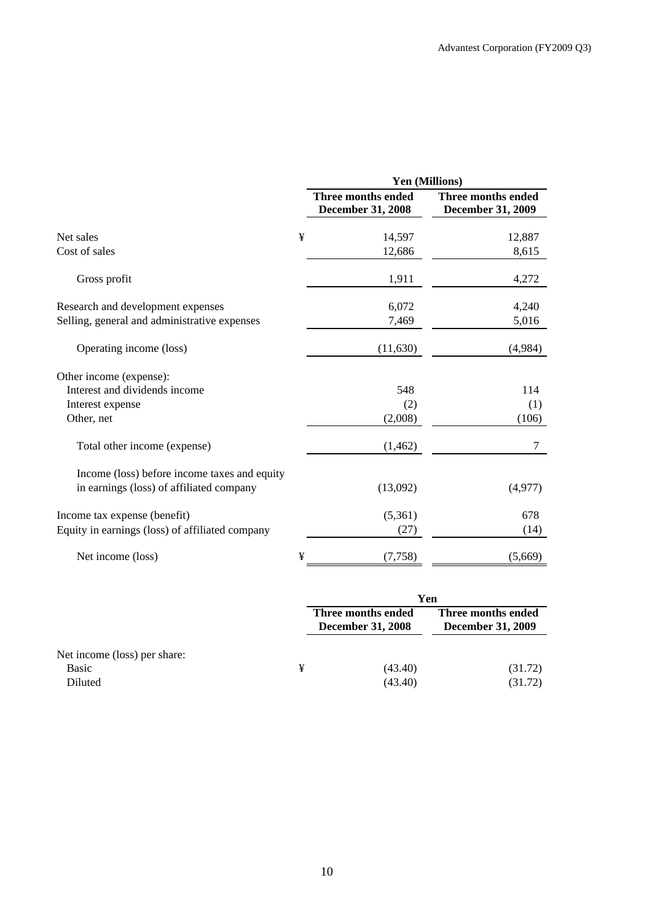|                                                                                          |   | Yen (Millions)                                 |                                                |  |
|------------------------------------------------------------------------------------------|---|------------------------------------------------|------------------------------------------------|--|
|                                                                                          |   | Three months ended<br><b>December 31, 2008</b> | Three months ended<br><b>December 31, 2009</b> |  |
| Net sales                                                                                | ¥ | 14,597                                         | 12,887                                         |  |
| Cost of sales                                                                            |   | 12,686                                         | 8,615                                          |  |
| Gross profit                                                                             |   | 1,911                                          | 4,272                                          |  |
| Research and development expenses                                                        |   | 6,072                                          | 4,240                                          |  |
| Selling, general and administrative expenses                                             |   | 7,469                                          | 5,016                                          |  |
| Operating income (loss)                                                                  |   | (11, 630)                                      | (4,984)                                        |  |
| Other income (expense):                                                                  |   |                                                |                                                |  |
| Interest and dividends income                                                            |   | 548                                            | 114                                            |  |
| Interest expense<br>Other, net                                                           |   | (2)<br>(2,008)                                 | (1)<br>(106)                                   |  |
| Total other income (expense)                                                             |   | (1, 462)                                       | 7                                              |  |
| Income (loss) before income taxes and equity<br>in earnings (loss) of affiliated company |   | (13,092)                                       | (4,977)                                        |  |
| Income tax expense (benefit)                                                             |   | (5,361)                                        | 678                                            |  |
| Equity in earnings (loss) of affiliated company                                          |   | (27)                                           | (14)                                           |  |
| Net income (loss)                                                                        | ¥ | (7,758)                                        | (5,669)                                        |  |

|                              |   | Yen                                            |                                                |  |
|------------------------------|---|------------------------------------------------|------------------------------------------------|--|
|                              |   | Three months ended<br><b>December 31, 2008</b> | Three months ended<br><b>December 31, 2009</b> |  |
| Net income (loss) per share: |   |                                                |                                                |  |
| <b>Basic</b><br>Diluted      | ¥ | (43.40)<br>(43.40)                             | (31.72)<br>(31.72)                             |  |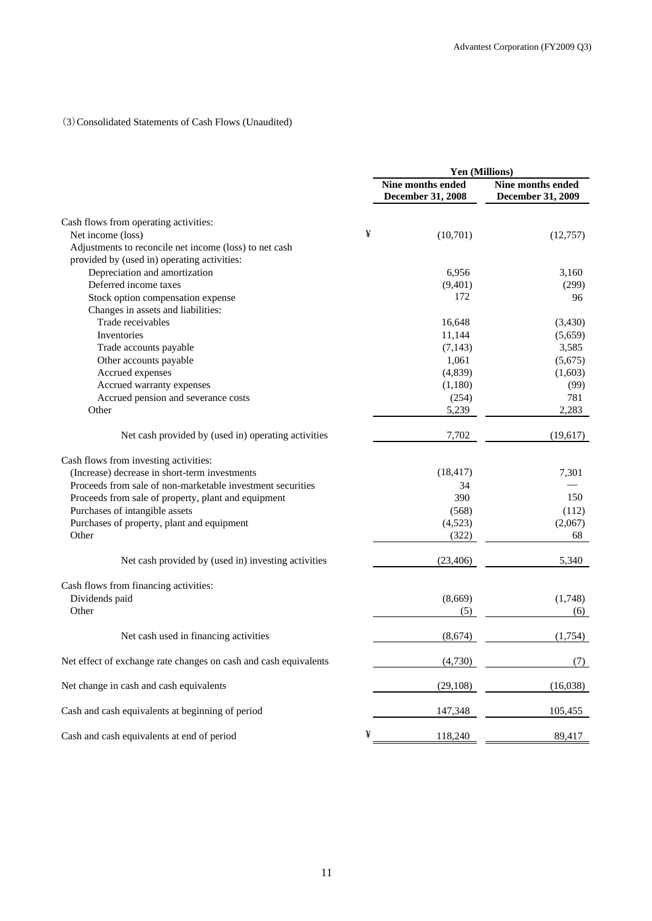### (3)Consolidated Statements of Cash Flows (Unaudited)

|                                                                  | Yen (Millions) |                                                      |                                               |
|------------------------------------------------------------------|----------------|------------------------------------------------------|-----------------------------------------------|
|                                                                  |                | <b>Nine months ended</b><br><b>December 31, 2008</b> | Nine months ended<br><b>December 31, 2009</b> |
| Cash flows from operating activities:                            |                |                                                      |                                               |
| Net income (loss)                                                | ¥              | (10,701)                                             | (12,757)                                      |
| Adjustments to reconcile net income (loss) to net cash           |                |                                                      |                                               |
| provided by (used in) operating activities:                      |                |                                                      |                                               |
| Depreciation and amortization                                    |                | 6,956                                                | 3,160                                         |
| Deferred income taxes                                            |                | (9,401)                                              | (299)                                         |
| Stock option compensation expense                                |                | 172                                                  | 96                                            |
| Changes in assets and liabilities:                               |                |                                                      |                                               |
| Trade receivables                                                |                | 16,648                                               | (3,430)                                       |
| Inventories                                                      |                | 11,144                                               | (5,659)                                       |
| Trade accounts payable                                           |                | (7, 143)                                             | 3,585                                         |
| Other accounts payable                                           |                | 1,061                                                | (5,675)                                       |
| Accrued expenses                                                 |                | (4, 839)                                             | (1,603)                                       |
| Accrued warranty expenses                                        |                | (1,180)                                              | (99)                                          |
| Accrued pension and severance costs                              |                | (254)                                                | 781                                           |
| Other                                                            |                | 5,239                                                | 2,283                                         |
| Net cash provided by (used in) operating activities              |                | 7,702                                                | (19,617)                                      |
| Cash flows from investing activities:                            |                |                                                      |                                               |
| (Increase) decrease in short-term investments                    |                | (18, 417)                                            | 7,301                                         |
| Proceeds from sale of non-marketable investment securities       |                | 34                                                   |                                               |
| Proceeds from sale of property, plant and equipment              |                | 390                                                  | 150                                           |
| Purchases of intangible assets                                   |                | (568)                                                | (112)                                         |
| Purchases of property, plant and equipment                       |                | (4,523)                                              | (2,067)                                       |
| Other                                                            |                | (322)                                                | 68                                            |
| Net cash provided by (used in) investing activities              |                | (23, 406)                                            | 5,340                                         |
| Cash flows from financing activities:                            |                |                                                      |                                               |
| Dividends paid                                                   |                | (8,669)                                              | (1,748)                                       |
| Other                                                            |                | (5)                                                  | (6)                                           |
| Net cash used in financing activities                            |                | (8,674)                                              | (1,754)                                       |
| Net effect of exchange rate changes on cash and cash equivalents |                | (4,730)                                              | (7)                                           |
| Net change in cash and cash equivalents                          |                | (29, 108)                                            | (16,038)                                      |
| Cash and cash equivalents at beginning of period                 |                | 147,348                                              | 105,455                                       |
| Cash and cash equivalents at end of period                       | ¥              | 118,240                                              | 89,417                                        |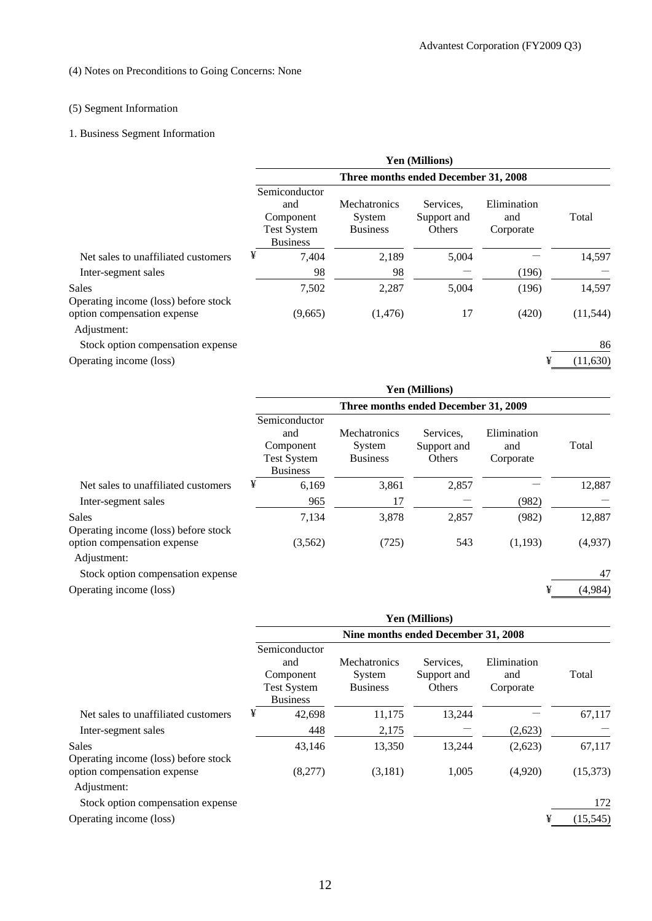# (4) Notes on Preconditions to Going Concerns: None

# (5) Segment Information

# 1. Business Segment Information

|                                               | <b>Yen (Millions)</b>                                                      |                                                  |                                    |                                 |           |  |  |
|-----------------------------------------------|----------------------------------------------------------------------------|--------------------------------------------------|------------------------------------|---------------------------------|-----------|--|--|
|                                               | Three months ended December 31, 2008                                       |                                                  |                                    |                                 |           |  |  |
|                                               | Semiconductor<br>and<br>Component<br><b>Test System</b><br><b>Business</b> | <b>Mechatronics</b><br>System<br><b>Business</b> | Services.<br>Support and<br>Others | Elimination<br>and<br>Corporate | Total     |  |  |
| Net sales to unaffiliated customers           | ¥<br>7,404                                                                 | 2,189                                            | 5,004                              |                                 | 14,597    |  |  |
| Inter-segment sales                           | 98                                                                         | 98                                               |                                    | (196)                           |           |  |  |
| Sales<br>Operating income (loss) before stock | 7,502                                                                      | 2,287                                            | 5.004                              | (196)                           | 14,597    |  |  |
| option compensation expense<br>Adjustment:    | (9,665)                                                                    | (1,476)                                          | 17                                 | (420)                           | (11, 544) |  |  |
| Stock option compensation expense             |                                                                            |                                                  |                                    |                                 | 86        |  |  |
| Operating income (loss)                       |                                                                            |                                                  |                                    | ¥                               | (11,630)  |  |  |
|                                               |                                                                            |                                                  |                                    |                                 |           |  |  |

|                                                      | <b>Yen (Millions)</b>                                                      |                                                  |                                    |                                 |              |  |  |
|------------------------------------------------------|----------------------------------------------------------------------------|--------------------------------------------------|------------------------------------|---------------------------------|--------------|--|--|
|                                                      | Three months ended December 31, 2009                                       |                                                  |                                    |                                 |              |  |  |
|                                                      | Semiconductor<br>and<br>Component<br><b>Test System</b><br><b>Business</b> | <b>Mechatronics</b><br>System<br><b>Business</b> | Services,<br>Support and<br>Others | Elimination<br>and<br>Corporate | Total        |  |  |
| Net sales to unaffiliated customers                  | ¥                                                                          | 3,861<br>6,169                                   | 2,857                              |                                 | 12,887       |  |  |
| Inter-segment sales                                  |                                                                            | 17<br>965                                        |                                    | (982)                           |              |  |  |
| <b>Sales</b><br>Operating income (loss) before stock |                                                                            | 7,134<br>3,878                                   | 2,857                              | (982)                           | 12,887       |  |  |
| option compensation expense<br>Adjustment:           |                                                                            | (725)<br>(3,562)                                 | 543                                | (1,193)                         | (4,937)      |  |  |
| Stock option compensation expense                    |                                                                            |                                                  |                                    |                                 | 47           |  |  |
| Operating income (loss)                              |                                                                            |                                                  |                                    |                                 | ¥<br>(4,984) |  |  |

|                                                      | <b>Yen (Millions)</b>                                                      |                                                  |                                    |                                 |           |  |  |
|------------------------------------------------------|----------------------------------------------------------------------------|--------------------------------------------------|------------------------------------|---------------------------------|-----------|--|--|
|                                                      | Nine months ended December 31, 2008                                        |                                                  |                                    |                                 |           |  |  |
|                                                      | Semiconductor<br>and<br>Component<br><b>Test System</b><br><b>Business</b> | <b>Mechatronics</b><br>System<br><b>Business</b> | Services.<br>Support and<br>Others | Elimination<br>and<br>Corporate | Total     |  |  |
| Net sales to unaffiliated customers                  | ¥<br>42,698                                                                | 11,175                                           | 13,244                             |                                 | 67,117    |  |  |
| Inter-segment sales                                  | 448                                                                        | 2,175                                            |                                    | (2,623)                         |           |  |  |
| <b>Sales</b><br>Operating income (loss) before stock | 43,146                                                                     | 13,350                                           | 13,244                             | (2,623)                         | 67,117    |  |  |
| option compensation expense<br>Adjustment:           | (8,277)                                                                    | (3,181)                                          | 1,005                              | (4,920)                         | (15,373)  |  |  |
| Stock option compensation expense                    |                                                                            |                                                  |                                    |                                 | 172       |  |  |
| Operating income (loss)                              |                                                                            |                                                  |                                    | ¥                               | (15, 545) |  |  |